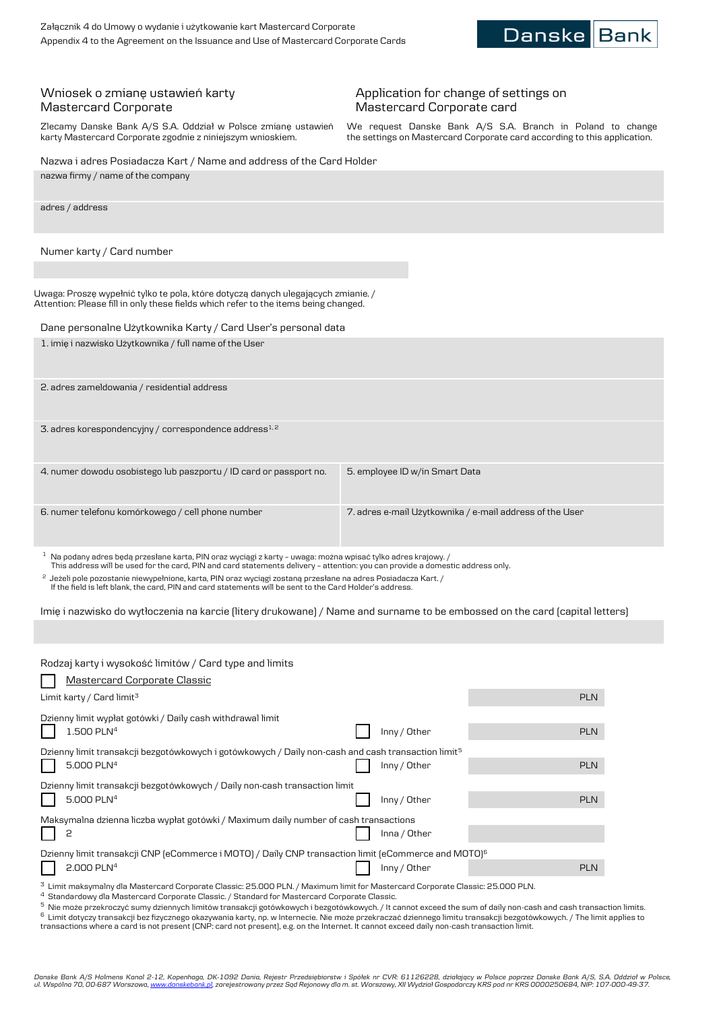**Danske Banl** 

## Wniosek o zmianę ustawień karty Mastercard Corporate

Zlecamy Danske Bank A/S S.A. Oddział w Polsce zmianę ustawień karty Mastercard Corporate zgodnie z niniejszym wnioskiem.

## Application for change of settings on Mastercard Corporate card

We request Danske Bank A/S S.A. Branch in Poland to change the settings on Mastercard Corporate card according to this application.

Inny / Other PLN

| Nazwa i adres Posiadacza Kart / Name and address of the Card Holder                                                                                                                                                                                   |            |
|-------------------------------------------------------------------------------------------------------------------------------------------------------------------------------------------------------------------------------------------------------|------------|
| nazwa firmy / name of the company                                                                                                                                                                                                                     |            |
| adres / address                                                                                                                                                                                                                                       |            |
| Numer karty / Card number                                                                                                                                                                                                                             |            |
|                                                                                                                                                                                                                                                       |            |
| Uwaga: Proszę wypełnić tylko te pola, które dotyczą danych ulegających zmianie. /<br>Attention: Please fill in only these fields which refer to the items being changed.                                                                              |            |
| Dane personalne Użytkownika Karty / Card User's personal data                                                                                                                                                                                         |            |
| 1. imię i nazwisko Użytkownika / full name of the User                                                                                                                                                                                                |            |
| 2. adres zameldowania / residential address                                                                                                                                                                                                           |            |
| 3. adres korespondencyjny / correspondence address $^{1,2}$                                                                                                                                                                                           |            |
| 4. numer dowodu osobistego lub paszportu / ID card or passport no.<br>5. employee ID w/in Smart Data                                                                                                                                                  |            |
| 6. numer telefonu komórkowego / cell phone number<br>7. adres e-mail Użytkownika / e-mail address of the User                                                                                                                                         |            |
| $^{-1}$ Na podany adres będą przesłane karta, PIN oraz wyciągi z karty – uwaga: można wpisać tylko adres krajowy. /<br>This address will be used for the card, PIN and card statements delivery - attention: you can provide a domestic address only. |            |
| <sup>2</sup> Jeżeli pole pozostanie niewypełnione, karta, PIN oraz wyciągi zostaną przesłane na adres Posiadacza Kart. /<br>If the field is left blank, the card, PIN and card statements will be sent to the Card Holder's address.                  |            |
| Imie i nazwisko do wytłoczenia na karcie (litery drukowane) / Name and surname to be embossed on the card (capital letters)                                                                                                                           |            |
|                                                                                                                                                                                                                                                       |            |
| Rodzaj karty i wysokość limitów / Card type and limits                                                                                                                                                                                                |            |
| <u> Mastercard Corporate Classic</u>                                                                                                                                                                                                                  |            |
| Limit karty / Card limit <sup>3</sup>                                                                                                                                                                                                                 | <b>PLN</b> |
| Dzienny limit wypłat gotówki / Daily cash withdrawal limit                                                                                                                                                                                            |            |
| 1.500 PLN <sup>4</sup><br>Inny / Other                                                                                                                                                                                                                | <b>PLN</b> |
| Dzienny limit transakcji bezgotówkowych i gotówkowych / Daily non-cash and cash transaction limit <sup>5</sup><br>5.000 PLN <sup>4</sup><br>Inny / Other                                                                                              | <b>PLN</b> |

Maksymalna dzienna liczba wypłat gotówki / Maximum daily number of cash transactions 2 **If the light of the contract of the contract of the contract of the contract of the contract of the contract of the contract of the contract of the contract of the contract of the contract of the contract of the contrac** Dzienny limit transakcji CNP (eCommerce i MOTO) / Daily CNP transaction limit (eCommerce and MOTO)<sup>6</sup> 2.000 PLN<sup>4</sup> Inny / Other PLN

 $^3$  Limit maksymalny dla Mastercard Corporate Classic: 25.000 PLN. / Maximum limit for Mastercard Corporate Classic: 25.000 PLN.

 $^4\,$  Standardowy dla Mastercard Corporate Classic. / Standard for Mastercard Corporate Classic.

Dzienny limit transakcji bezgotówkowych / Daily non-cash transaction limit

5.000 PLN<sup>4</sup>

 $^{\rm 5}$  Nie może przekroczyć sumy dziennych limitów transakcji gotówkowych i bezgotówkowych. / It cannot exceed the sum of daily non-cash and cash transaction limits. 6 Limit dotyczy transakcji bez fizycznego okazywania karty, np. w Internecie. Nie może przekraczać dziennego limitu transakcji bezgotówkowych. / The limit applies to transactions where a card is not present (CNP: card not present), e.g. on the Internet. It cannot exceed daily non-cash transaction limit.